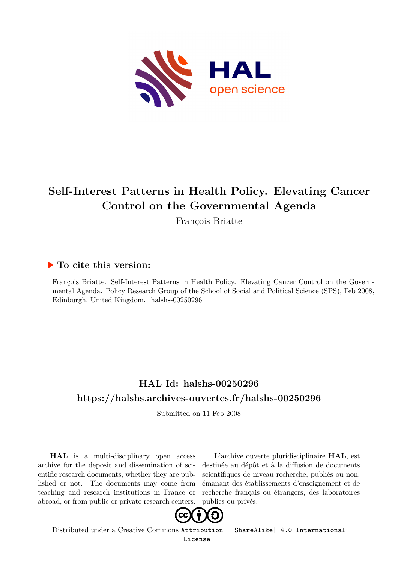

# **Self-Interest Patterns in Health Policy. Elevating Cancer Control on the Governmental Agenda**

François Briatte

# **To cite this version:**

François Briatte. Self-Interest Patterns in Health Policy. Elevating Cancer Control on the Governmental Agenda. Policy Research Group of the School of Social and Political Science (SPS), Feb 2008, Edinburgh, United Kingdom. halshs-00250296

# **HAL Id: halshs-00250296 <https://halshs.archives-ouvertes.fr/halshs-00250296>**

Submitted on 11 Feb 2008

**HAL** is a multi-disciplinary open access archive for the deposit and dissemination of scientific research documents, whether they are published or not. The documents may come from teaching and research institutions in France or abroad, or from public or private research centers.

L'archive ouverte pluridisciplinaire **HAL**, est destinée au dépôt et à la diffusion de documents scientifiques de niveau recherche, publiés ou non, émanant des établissements d'enseignement et de recherche français ou étrangers, des laboratoires publics ou privés.



Distributed under a Creative Commons [Attribution - ShareAlike| 4.0 International](http://creativecommons.org/licenses/by-sa/4.0/) [License](http://creativecommons.org/licenses/by-sa/4.0/)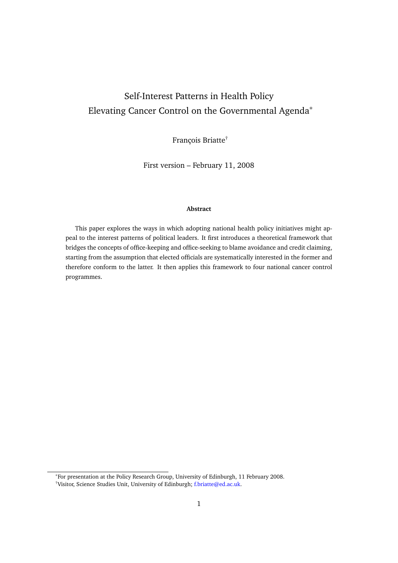# Self-Interest Patterns in Health Policy Elevating Cancer Control on the Governmental Agenda<sup>∗</sup>

François Briatte†

First version – February 11, 2008

#### **Abstract**

This paper explores the ways in which adopting national health policy initiatives might appeal to the interest patterns of political leaders. It first introduces a theoretical framework that bridges the concepts of office-keeping and office-seeking to blame avoidance and credit claiming, starting from the assumption that elected officials are systematically interested in the former and therefore conform to the latter. It then applies this framework to four national cancer control programmes.

<sup>∗</sup>For presentation at the Policy Research Group, University of Edinburgh, 11 February 2008.

<sup>†</sup>Visitor, Science Studies Unit, University of Edinburgh; [f.briatte@ed.ac.uk.](mailto:f.briatte@ed.ac.uk)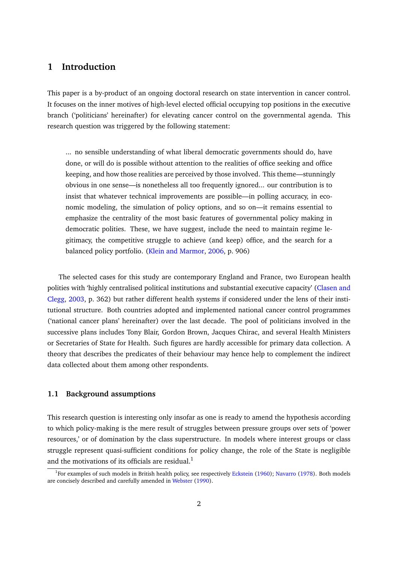## **1 Introduction**

This paper is a by-product of an ongoing doctoral research on state intervention in cancer control. It focuses on the inner motives of high-level elected official occupying top positions in the executive branch ('politicians' hereinafter) for elevating cancer control on the governmental agenda. This research question was triggered by the following statement:

... no sensible understanding of what liberal democratic governments should do, have done, or will do is possible without attention to the realities of office seeking and office keeping, and how those realities are perceived by those involved. This theme—stunningly obvious in one sense—is nonetheless all too frequently ignored... our contribution is to insist that whatever technical improvements are possible—in polling accuracy, in economic modeling, the simulation of policy options, and so on—it remains essential to emphasize the centrality of the most basic features of governmental policy making in democratic polities. These, we have suggest, include the need to maintain regime legitimacy, the competitive struggle to achieve (and keep) office, and the search for a balanced policy portfolio. [\(Klein and Marmor,](#page-18-0) [2006,](#page-18-0) p. 906)

The selected cases for this study are contemporary England and France, two European health polities with 'highly centralised political institutions and substantial executive capacity' [\(Clasen and](#page-18-1) [Clegg,](#page-18-1) [2003,](#page-18-1) p. 362) but rather different health systems if considered under the lens of their institutional structure. Both countries adopted and implemented national cancer control programmes ('national cancer plans' hereinafter) over the last decade. The pool of politicians involved in the successive plans includes Tony Blair, Gordon Brown, Jacques Chirac, and several Health Ministers or Secretaries of State for Health. Such figures are hardly accessible for primary data collection. A theory that describes the predicates of their behaviour may hence help to complement the indirect data collected about them among other respondents.

#### **1.1 Background assumptions**

This research question is interesting only insofar as one is ready to amend the hypothesis according to which policy-making is the mere result of struggles between pressure groups over sets of 'power resources,' or of domination by the class superstructure. In models where interest groups or class struggle represent quasi-sufficient conditions for policy change, the role of the State is negligible and the motivations of its officials are residual.<sup>1</sup>

<sup>&</sup>lt;sup>1</sup>For examples of such models in British health policy, see respectively [Eckstein](#page-18-2) [\(1960\)](#page-18-2); [Navarro](#page-18-3) [\(1978\)](#page-18-3). Both models are concisely described and carefully amended in [Webster](#page-19-0) [\(1990\)](#page-19-0).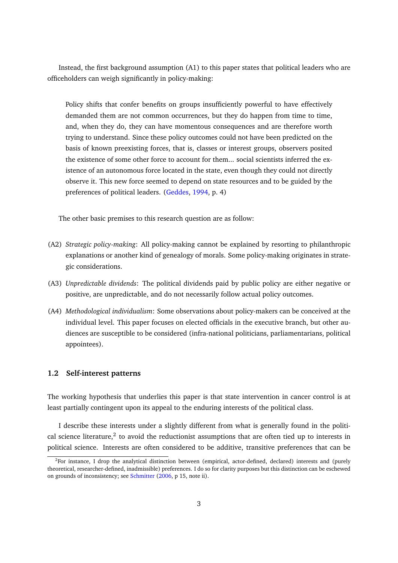Instead, the first background assumption (A1) to this paper states that political leaders who are officeholders can weigh significantly in policy-making:

Policy shifts that confer benefits on groups insufficiently powerful to have effectively demanded them are not common occurrences, but they do happen from time to time, and, when they do, they can have momentous consequences and are therefore worth trying to understand. Since these policy outcomes could not have been predicted on the basis of known preexisting forces, that is, classes or interest groups, observers posited the existence of some other force to account for them... social scientists inferred the existence of an autonomous force located in the state, even though they could not directly observe it. This new force seemed to depend on state resources and to be guided by the preferences of political leaders. [\(Geddes,](#page-18-4) [1994,](#page-18-4) p. 4)

The other basic premises to this research question are as follow:

- (A2) *Strategic policy-making*: All policy-making cannot be explained by resorting to philanthropic explanations or another kind of genealogy of morals. Some policy-making originates in strategic considerations.
- (A3) *Unpredictable dividends*: The political dividends paid by public policy are either negative or positive, are unpredictable, and do not necessarily follow actual policy outcomes.
- (A4) *Methodological individualism*: Some observations about policy-makers can be conceived at the individual level. This paper focuses on elected officials in the executive branch, but other audiences are susceptible to be considered (infra-national politicians, parliamentarians, political appointees).

### **1.2 Self-interest patterns**

The working hypothesis that underlies this paper is that state intervention in cancer control is at least partially contingent upon its appeal to the enduring interests of the political class.

I describe these interests under a slightly different from what is generally found in the political science literature,<sup>2</sup> to avoid the reductionist assumptions that are often tied up to interests in political science. Interests are often considered to be additive, transitive preferences that can be

 ${}^{2}$ For instance, I drop the analytical distinction between (empirical, actor-defined, declared) interests and (purely theoretical, researcher-defined, inadmissible) preferences. I do so for clarity purposes but this distinction can be eschewed on grounds of inconsistency; see [Schmitter](#page-19-1) [\(2006,](#page-19-1) p 15, note ii).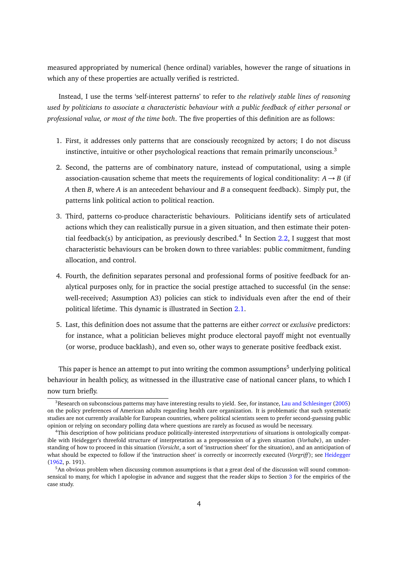measured appropriated by numerical (hence ordinal) variables, however the range of situations in which any of these properties are actually verified is restricted.

Instead, I use the terms 'self-interest patterns' to refer to *the relatively stable lines of reasoning used by politicians to associate a characteristic behaviour with a public feedback of either personal or professional value, or most of the time both*. The five properties of this definition are as follows:

- 1. First, it addresses only patterns that are consciously recognized by actors; I do not discuss instinctive, intuitive or other psychological reactions that remain primarily unconscious.<sup>3</sup>
- 2. Second, the patterns are of combinatory nature, instead of computational, using a simple association-causation scheme that meets the requirements of logical conditionality:  $A \rightarrow B$  (if *A* then *B*, where *A* is an antecedent behaviour and *B* a consequent feedback). Simply put, the patterns link political action to political reaction.
- 3. Third, patterns co-produce characteristic behaviours. Politicians identify sets of articulated actions which they can realistically pursue in a given situation, and then estimate their poten-tial feedback(s) by anticipation, as previously described.<sup>4</sup> In Section [2.2,](#page-8-0) I suggest that most characteristic behaviours can be broken down to three variables: public commitment, funding allocation, and control.
- 4. Fourth, the definition separates personal and professional forms of positive feedback for analytical purposes only, for in practice the social prestige attached to successful (in the sense: well-received; Assumption A3) policies can stick to individuals even after the end of their political lifetime. This dynamic is illustrated in Section [2.1.](#page-7-0)
- 5. Last, this definition does not assume that the patterns are either *correct* or *exclusive* predictors: for instance, what a politician believes might produce electoral payoff might not eventually (or worse, produce backlash), and even so, other ways to generate positive feedback exist.

This paper is hence an attempt to put into writing the common assumptions<sup>5</sup> underlying political behaviour in health policy, as witnessed in the illustrative case of national cancer plans, to which I now turn briefly.

<sup>&</sup>lt;sup>3</sup>Research on subconscious patterns may have interesting results to yield. See, for instance, [Lau and Schlesinger](#page-18-5) [\(2005\)](#page-18-5) on the policy preferences of American adults regarding health care organization. It is problematic that such systematic studies are not currently available for European countries, where political scientists seem to prefer second-guessing public opinion or relying on secondary polling data where questions are rarely as focused as would be necessary.

<sup>4</sup>This description of how politicians produce politically-interested *interpretations* of situations is ontologically compatible with Heidegger's threefold structure of interpretation as a prepossession of a given situation (*Vorhabe*), an understanding of how to proceed in this situation (*Vorsicht*, a sort of 'instruction sheet' for the situation), and an anticipation of what should be expected to follow if the 'instruction sheet' is correctly or incorrectly executed (*Vorgriff* ); see [Heidegger](#page-18-6) [\(1962,](#page-18-6) p. 191).

<sup>&</sup>lt;sup>5</sup>An obvious problem when discussing common assumptions is that a great deal of the discussion will sound commonsensical to many, for which I apologise in advance and suggest that the reader skips to Section [3](#page-10-0) for the empirics of the case study.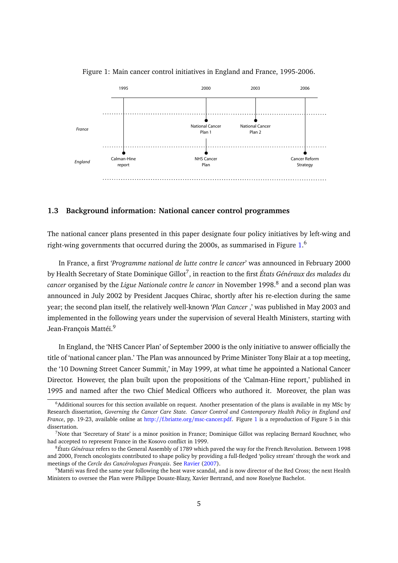

<span id="page-5-0"></span>Figure 1: Main cancer control initiatives in England and France, 1995-2006.

#### **1.3 Background information: National cancer control programmes**

The national cancer plans presented in this paper designate four policy initiatives by left-wing and right-wing governments that occurred during the 2000s, as summarised in Figure  $1.^6$  $1.^6$ 

In France, a first '*Programme national de lutte contre le cancer*' was announced in February 2000 by Health Secretary of State Dominique Gillot<sup>7</sup>, in reaction to the first *États Généraux des malades du cancer* organised by the *Ligue Nationale contre le cancer* in November 1998.<sup>8</sup> and a second plan was announced in July 2002 by President Jacques Chirac, shortly after his re-election during the same year; the second plan itself, the relatively well-known '*Plan Cancer* ,' was published in May 2003 and implemented in the following years under the supervision of several Health Ministers, starting with Jean-François Mattéi.<sup>9</sup>

In England, the 'NHS Cancer Plan' of September 2000 is the only initiative to answer officially the title of 'national cancer plan.' The Plan was announced by Prime Minister Tony Blair at a top meeting, the '10 Downing Street Cancer Summit,' in May 1999, at what time he appointed a National Cancer Director. However, the plan built upon the propositions of the 'Calman-Hine report,' published in 1995 and named after the two Chief Medical Officers who authored it. Moreover, the plan was

<sup>6</sup>Additional sources for this section available on request. Another presentation of the plans is available in my MSc by Research dissertation, *Governing the Cancer Care State. Cancer Control and Contemporary Health Policy in England and France*, pp. 19-23, available online at http://f.briatte.org/[msc-cancer.pdf.](http://f.briatte.org/msc-cancer.pdf) Figure [1](#page-5-0) is a reproduction of Figure 5 in this dissertation.

<sup>7</sup>Note that 'Secretary of State' is a minor position in France; Dominique Gillot was replacing Bernard Kouchner, who had accepted to represent France in the Kosovo conflict in 1999.

<sup>8</sup>*États Généraux* refers to the General Assembly of 1789 which paved the way for the French Revolution. Between 1998 and 2000, French oncologists contributed to shape policy by providing a full-fledged 'policy stream' through the work and meetings of the *Cercle des Cancérologues Français*. See [Ravier](#page-19-2) [\(2007\)](#page-19-2).

<sup>&</sup>lt;sup>9</sup>Mattéi was fired the same year following the heat wave scandal, and is now director of the Red Cross; the next Health Ministers to oversee the Plan were Philippe Douste-Blazy, Xavier Bertrand, and now Roselyne Bachelot.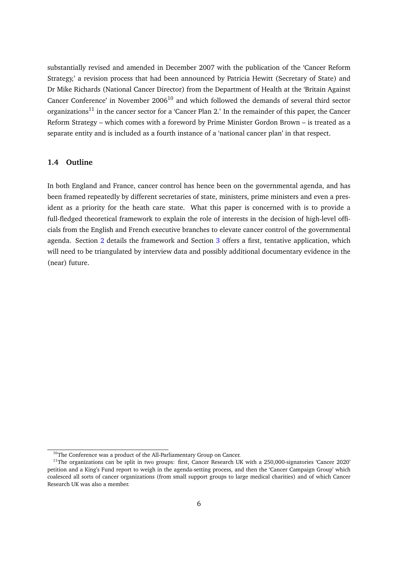substantially revised and amended in December 2007 with the publication of the 'Cancer Reform Strategy,' a revision process that had been announced by Patricia Hewitt (Secretary of State) and Dr Mike Richards (National Cancer Director) from the Department of Health at the 'Britain Against Cancer Conference' in November  $2006<sup>10</sup>$  and which followed the demands of several third sector organizations<sup>11</sup> in the cancer sector for a 'Cancer Plan 2.' In the remainder of this paper, the Cancer Reform Strategy – which comes with a foreword by Prime Minister Gordon Brown – is treated as a separate entity and is included as a fourth instance of a 'national cancer plan' in that respect.

#### **1.4 Outline**

In both England and France, cancer control has hence been on the governmental agenda, and has been framed repeatedly by different secretaries of state, ministers, prime ministers and even a president as a priority for the heath care state. What this paper is concerned with is to provide a full-fledged theoretical framework to explain the role of interests in the decision of high-level officials from the English and French executive branches to elevate cancer control of the governmental agenda. Section [2](#page-7-1) details the framework and Section [3](#page-10-0) offers a first, tentative application, which will need to be triangulated by interview data and possibly additional documentary evidence in the (near) future.

<sup>&</sup>lt;sup>10</sup>The Conference was a product of the All-Parliamentary Group on Cancer.

 $11$ The organizations can be split in two groups: first, Cancer Research UK with a 250,000-signatories 'Cancer 2020' petition and a King's Fund report to weigh in the agenda-setting process, and then the 'Cancer Campaign Group' which coalesced all sorts of cancer organizations (from small support groups to large medical charities) and of which Cancer Research UK was also a member.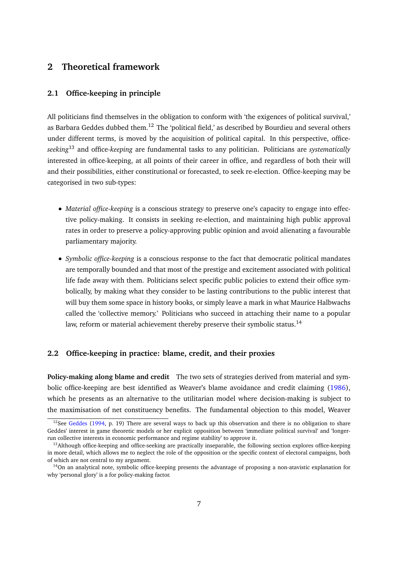## <span id="page-7-1"></span>**2 Theoretical framework**

### <span id="page-7-0"></span>**2.1 Office-keeping in principle**

All politicians find themselves in the obligation to conform with 'the exigences of political survival,' as Barbara Geddes dubbed them.<sup>12</sup> The 'political field,' as described by Bourdieu and several others under different terms, is moved by the acquisition of political capital. In this perspective, office*seeking*<sup>13</sup> and office-*keeping* are fundamental tasks to any politician. Politicians are *systematically* interested in office-keeping, at all points of their career in office, and regardless of both their will and their possibilities, either constitutional or forecasted, to seek re-election. Office-keeping may be categorised in two sub-types:

- *Material office-keeping* is a conscious strategy to preserve one's capacity to engage into effective policy-making. It consists in seeking re-election, and maintaining high public approval rates in order to preserve a policy-approving public opinion and avoid alienating a favourable parliamentary majority.
- *Symbolic office-keeping* is a conscious response to the fact that democratic political mandates are temporally bounded and that most of the prestige and excitement associated with political life fade away with them. Politicians select specific public policies to extend their office symbolically, by making what they consider to be lasting contributions to the public interest that will buy them some space in history books, or simply leave a mark in what Maurice Halbwachs called the 'collective memory.' Politicians who succeed in attaching their name to a popular law, reform or material achievement thereby preserve their symbolic status.<sup>14</sup>

## <span id="page-7-2"></span>**2.2 Office-keeping in practice: blame, credit, and their proxies**

**Policy-making along blame and credit** The two sets of strategies derived from material and symbolic office-keeping are best identified as Weaver's blame avoidance and credit claiming [\(1986\)](#page-19-3), which he presents as an alternative to the utilitarian model where decision-making is subject to the maximisation of net constituency benefits. The fundamental objection to this model, Weaver

<sup>&</sup>lt;sup>12</sup>See [Geddes](#page-18-4) [\(1994,](#page-18-4) p. 19) There are several ways to back up this observation and there is no obligation to share Geddes' interest in game theoretic models or her explicit opposition between 'immediate political survival' and 'longerrun collective interests in economic performance and regime stability' to approve it.

<sup>&</sup>lt;sup>13</sup>Although office-keeping and office-seeking are practically inseparable, the following section explores office-keeping in more detail, which allows me to neglect the role of the opposition or the specific context of electoral campaigns, both of which are not central to my argument.

 $14$ On an analytical note, symbolic office-keeping presents the advantage of proposing a non-atavistic explanation for why 'personal glory' is a for policy-making factor.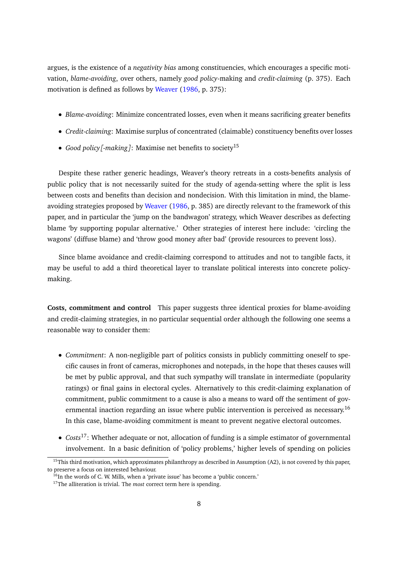argues, is the existence of a *negativity bias* among constituencies, which encourages a specific motivation, *blame-avoiding*, over others, namely *good policy*-making and *credit-claiming* (p. 375). Each motivation is defined as follows by [Weaver](#page-19-3) [\(1986,](#page-19-3) p. 375):

- *Blame-avoiding*: Minimize concentrated losses, even when it means sacrificing greater benefits
- *Credit-claiming*: Maximise surplus of concentrated (claimable) constituency benefits over losses
- *Good policy[-making]*: Maximise net benefits to society<sup>15</sup>

Despite these rather generic headings, Weaver's theory retreats in a costs-benefits analysis of public policy that is not necessarily suited for the study of agenda-setting where the split is less between costs and benefits than decision and nondecision. With this limitation in mind, the blameavoiding strategies proposed by [Weaver](#page-19-3) [\(1986,](#page-19-3) p. 385) are directly relevant to the framework of this paper, and in particular the 'jump on the bandwagon' strategy, which Weaver describes as defecting blame 'by supporting popular alternative.' Other strategies of interest here include: 'circling the wagons' (diffuse blame) and 'throw good money after bad' (provide resources to prevent loss).

Since blame avoidance and credit-claiming correspond to attitudes and not to tangible facts, it may be useful to add a third theoretical layer to translate political interests into concrete policymaking.

<span id="page-8-0"></span>**Costs, commitment and control** This paper suggests three identical proxies for blame-avoiding and credit-claiming strategies, in no particular sequential order although the following one seems a reasonable way to consider them:

- *Commitment*: A non-negligible part of politics consists in publicly committing oneself to specific causes in front of cameras, microphones and notepads, in the hope that theses causes will be met by public approval, and that such sympathy will translate in intermediate (popularity ratings) or final gains in electoral cycles. Alternatively to this credit-claiming explanation of commitment, public commitment to a cause is also a means to ward off the sentiment of governmental inaction regarding an issue where public intervention is perceived as necessary.<sup>16</sup> In this case, blame-avoiding commitment is meant to prevent negative electoral outcomes.
- *Costs*17: Whether adequate or not, allocation of funding is a simple estimator of governmental involvement. In a basic definition of 'policy problems,' higher levels of spending on policies

 $15$ This third motivation, which approximates philanthropy as described in Assumption (A2), is not covered by this paper, to preserve a focus on interested behaviour.

 $16$ In the words of C. W. Mills, when a 'private issue' has become a 'public concern.'

<sup>&</sup>lt;sup>17</sup>The alliteration is trivial. The *most* correct term here is spending.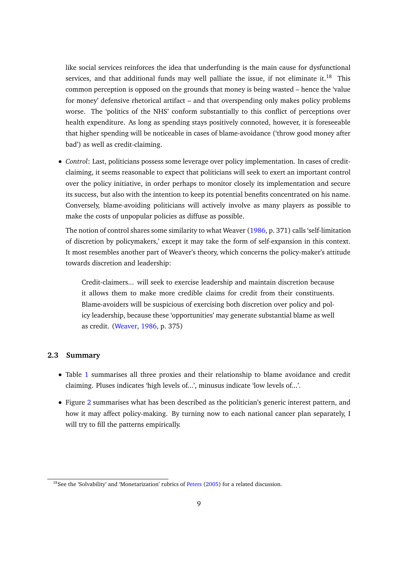like social services reinforces the idea that underfunding is the main cause for dysfunctional services, and that additional funds may well palliate the issue, if not eliminate it.<sup>18</sup> This common perception is opposed on the grounds that money is being wasted – hence the 'value for money' defensive rhetorical artifact – and that overspending only makes policy problems worse. The 'politics of the NHS' conform substantially to this conflict of perceptions over health expenditure. As long as spending stays positively connoted, however, it is foreseeable that higher spending will be noticeable in cases of blame-avoidance ('throw good money after bad') as well as credit-claiming.

• *Control*: Last, politicians possess some leverage over policy implementation. In cases of creditclaiming, it seems reasonable to expect that politicians will seek to exert an important control over the policy initiative, in order perhaps to monitor closely its implementation and secure its success, but also with the intention to keep its potential benefits concentrated on his name. Conversely, blame-avoiding politicians will actively involve as many players as possible to make the costs of unpopular policies as diffuse as possible.

The notion of control shares some similarity to what Weaver [\(1986,](#page-19-3) p. 371) calls 'self-limitation of discretion by policymakers,' except it may take the form of self-expansion in this context. It most resembles another part of Weaver's theory, which concerns the policy-maker's attitude towards discretion and leadership:

Credit-claimers... will seek to exercise leadership and maintain discretion because it allows them to make more credible claims for credit from their constituents. Blame-avoiders will be suspicious of exercising both discretion over policy and policy leadership, because these 'opportunities' may generate substantial blame as well as credit. [\(Weaver,](#page-19-3) [1986,](#page-19-3) p. 375)

#### **2.3 Summary**

- Table [1](#page-10-1) summarises all three proxies and their relationship to blame avoidance and credit claiming. Pluses indicates 'high levels of...', minusus indicate 'low levels of...'.
- Figure [2](#page-10-2) summarises what has been described as the politician's generic interest pattern, and how it may affect policy-making. By turning now to each national cancer plan separately, I will try to fill the patterns empirically.

<sup>&</sup>lt;sup>18</sup>See the 'Solvability' and 'Monetarization' rubrics of [Peters](#page-19-4) [\(2005\)](#page-19-4) for a related discussion.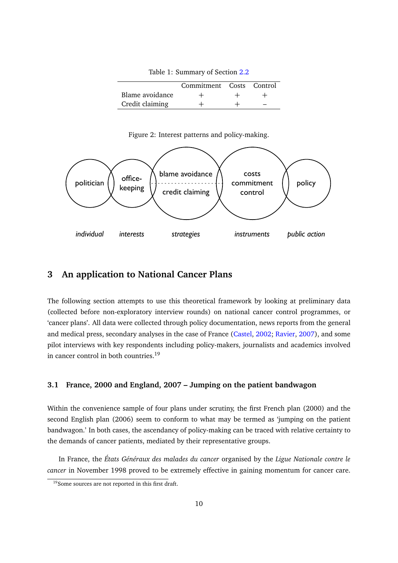Commitment Costs Control Blame avoidance  $+$   $+$   $+$ Credit claiming  $+$  +

<span id="page-10-1"></span>Table 1: Summary of Section [2.2](#page-7-2)

<span id="page-10-2"></span>



## <span id="page-10-0"></span>**3 An application to National Cancer Plans**

The following section attempts to use this theoretical framework by looking at preliminary data (collected before non-exploratory interview rounds) on national cancer control programmes, or 'cancer plans'. All data were collected through policy documentation, news reports from the general and medical press, secondary analyses in the case of France [\(Castel,](#page-18-7) [2002;](#page-18-7) [Ravier,](#page-19-2) [2007\)](#page-19-2), and some pilot interviews with key respondents including policy-makers, journalists and academics involved in cancer control in both countries.<sup>19</sup>

## **3.1 France, 2000 and England, 2007 – Jumping on the patient bandwagon**

Within the convenience sample of four plans under scrutiny, the first French plan (2000) and the second English plan (2006) seem to conform to what may be termed as 'jumping on the patient bandwagon.' In both cases, the ascendancy of policy-making can be traced with relative certainty to the demands of cancer patients, mediated by their representative groups.

In France, the *États Généraux des malades du cancer* organised by the *Ligue Nationale contre le cancer* in November 1998 proved to be extremely effective in gaining momentum for cancer care.

<sup>&</sup>lt;sup>19</sup>Some sources are not reported in this first draft.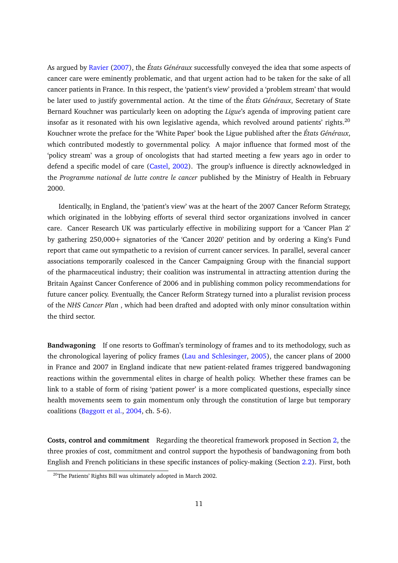As argued by [Ravier](#page-19-2) [\(2007\)](#page-19-2), the *États Généraux* successfully conveyed the idea that some aspects of cancer care were eminently problematic, and that urgent action had to be taken for the sake of all cancer patients in France. In this respect, the 'patient's view' provided a 'problem stream' that would be later used to justify governmental action. At the time of the *États Généraux*, Secretary of State Bernard Kouchner was particularly keen on adopting the *Ligue*'s agenda of improving patient care insofar as it resonated with his own legislative agenda, which revolved around patients' rights. $^{20}$ Kouchner wrote the preface for the 'White Paper' book the Ligue published after the *États Généraux*, which contributed modestly to governmental policy. A major influence that formed most of the 'policy stream' was a group of oncologists that had started meeting a few years ago in order to defend a specific model of care [\(Castel,](#page-18-7) [2002\)](#page-18-7). The group's influence is directly acknowledged in the *Programme national de lutte contre le cancer* published by the Ministry of Health in February 2000.

Identically, in England, the 'patient's view' was at the heart of the 2007 Cancer Reform Strategy, which originated in the lobbying efforts of several third sector organizations involved in cancer care. Cancer Research UK was particularly effective in mobilizing support for a 'Cancer Plan 2' by gathering 250,000+ signatories of the 'Cancer 2020' petition and by ordering a King's Fund report that came out sympathetic to a revision of current cancer services. In parallel, several cancer associations temporarily coalesced in the Cancer Campaigning Group with the financial support of the pharmaceutical industry; their coalition was instrumental in attracting attention during the Britain Against Cancer Conference of 2006 and in publishing common policy recommendations for future cancer policy. Eventually, the Cancer Reform Strategy turned into a pluralist revision process of the *NHS Cancer Plan* , which had been drafted and adopted with only minor consultation within the third sector.

**Bandwagoning** If one resorts to Goffman's terminology of frames and to its methodology, such as the chronological layering of policy frames [\(Lau and Schlesinger,](#page-18-5) [2005\)](#page-18-5), the cancer plans of 2000 in France and 2007 in England indicate that new patient-related frames triggered bandwagoning reactions within the governmental elites in charge of health policy. Whether these frames can be link to a stable of form of rising 'patient power' is a more complicated questions, especially since health movements seem to gain momentum only through the constitution of large but temporary coalitions [\(Baggott et al.,](#page-18-8) [2004,](#page-18-8) ch. 5-6).

**Costs, control and commitment** Regarding the theoretical framework proposed in Section [2,](#page-7-1) the three proxies of cost, commitment and control support the hypothesis of bandwagoning from both English and French politicians in these specific instances of policy-making (Section [2.2\)](#page-8-0). First, both

<sup>&</sup>lt;sup>20</sup>The Patients' Rights Bill was ultimately adopted in March 2002.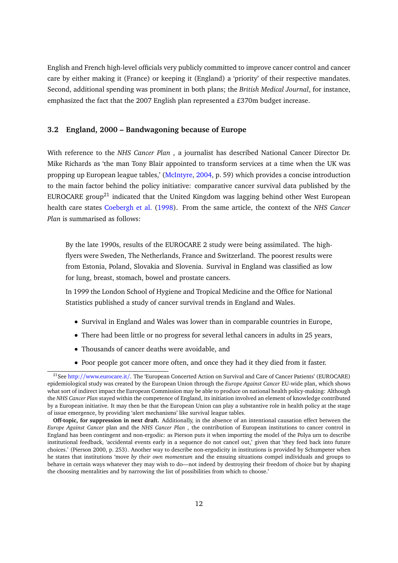English and French high-level officials very publicly committed to improve cancer control and cancer care by either making it (France) or keeping it (England) a 'priority' of their respective mandates. Second, additional spending was prominent in both plans; the *British Medical Journal*, for instance, emphasized the fact that the 2007 English plan represented a £370m budget increase.

### **3.2 England, 2000 – Bandwagoning because of Europe**

With reference to the *NHS Cancer Plan* , a journalist has described National Cancer Director Dr. Mike Richards as 'the man Tony Blair appointed to transform services at a time when the UK was propping up European league tables,' [\(McIntyre,](#page-18-9) [2004,](#page-18-9) p. 59) which provides a concise introduction to the main factor behind the policy initiative: comparative cancer survival data published by the EUROCARE group<sup>21</sup> indicated that the United Kingdom was lagging behind other West European health care states [Coebergh et al.](#page-18-10) [\(1998\)](#page-18-10). From the same article, the context of the *NHS Cancer Plan* is summarised as follows:

By the late 1990s, results of the EUROCARE 2 study were being assimilated. The highflyers were Sweden, The Netherlands, France and Switzerland. The poorest results were from Estonia, Poland, Slovakia and Slovenia. Survival in England was classified as low for lung, breast, stomach, bowel and prostate cancers.

In 1999 the London School of Hygiene and Tropical Medicine and the Office for National Statistics published a study of cancer survival trends in England and Wales.

- Survival in England and Wales was lower than in comparable countries in Europe,
- There had been little or no progress for several lethal cancers in adults in 25 years,
- Thousands of cancer deaths were avoidable, and
- Poor people got cancer more often, and once they had it they died from it faster.

<sup>&</sup>lt;sup>21</sup>See http://[www.eurocare.it](http://www.eurocare.it/)/. The 'European Concerted Action on Survival and Care of Cancer Patients' (EUROCARE) epidemiological study was created by the European Union through the *Europe Against Cancer* EU-wide plan, which shows what sort of indirect impact the European Commission may be able to produce on national health policy-making: Although the *NHS Cancer Plan* stayed within the competence of England, its initiation involved an element of knowledge contributed by a European initiative. It may then be that the European Union can play a substantive role in health policy at the stage of issue emergence, by providing 'alert mechanisms' like survival league tables.

**Off-topic, for suppression in next draft.** Additionally, in the absence of an intentional causation effect between the *Europe Against Cancer* plan and the *NHS Cancer Plan* , the contribution of European institutions to cancer control in England has been contingent and non-ergodic: as Pierson puts it when importing the model of the Polya urn to describe institutional feedback, 'accidental events early in a sequence do not cancel out,' given that 'they feed back into future choices.' (Pierson 2000, p. 253). Another way to describe non-ergodicity in institutions is provided by Schumpeter when he states that institutions 'move *by their own momentum* and the ensuing situations compel individuals and groups to behave in certain ways whatever they may wish to do—not indeed by destroying their freedom of choice but by shaping the choosing mentalities and by narrowing the list of possibilities from which to choose.'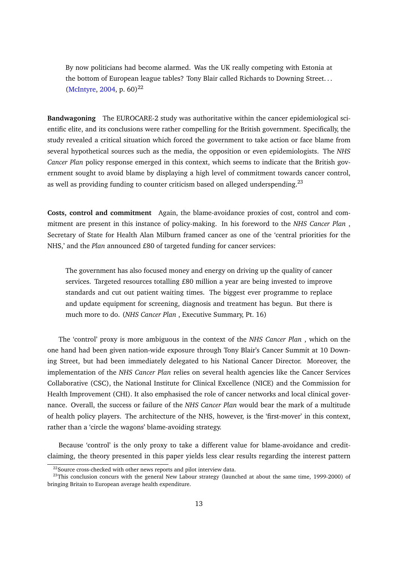By now politicians had become alarmed. Was the UK really competing with Estonia at the bottom of European league tables? Tony Blair called Richards to Downing Street. . . [\(McIntyre,](#page-18-9) [2004,](#page-18-9) p. 60)<sup>22</sup>

**Bandwagoning** The EUROCARE-2 study was authoritative within the cancer epidemiological scientific elite, and its conclusions were rather compelling for the British government. Specifically, the study revealed a critical situation which forced the government to take action or face blame from several hypothetical sources such as the media, the opposition or even epidemiologists. The *NHS Cancer Plan* policy response emerged in this context, which seems to indicate that the British government sought to avoid blame by displaying a high level of commitment towards cancer control, as well as providing funding to counter criticism based on alleged underspending.<sup>23</sup>

**Costs, control and commitment** Again, the blame-avoidance proxies of cost, control and commitment are present in this instance of policy-making. In his foreword to the *NHS Cancer Plan* , Secretary of State for Health Alan Milburn framed cancer as one of the 'central priorities for the NHS,' and the *Plan* announced £80 of targeted funding for cancer services:

The government has also focused money and energy on driving up the quality of cancer services. Targeted resources totalling £80 million a year are being invested to improve standards and cut out patient waiting times. The biggest ever programme to replace and update equipment for screening, diagnosis and treatment has begun. But there is much more to do. (*NHS Cancer Plan* , Executive Summary, Pt. 16)

The 'control' proxy is more ambiguous in the context of the *NHS Cancer Plan* , which on the one hand had been given nation-wide exposure through Tony Blair's Cancer Summit at 10 Downing Street, but had been immediately delegated to his National Cancer Director. Moreover, the implementation of the *NHS Cancer Plan* relies on several health agencies like the Cancer Services Collaborative (CSC), the National Institute for Clinical Excellence (NICE) and the Commission for Health Improvement (CHI). It also emphasised the role of cancer networks and local clinical governance. Overall, the success or failure of the *NHS Cancer Plan* would bear the mark of a multitude of health policy players. The architecture of the NHS, however, is the 'first-mover' in this context, rather than a 'circle the wagons' blame-avoiding strategy.

Because 'control' is the only proxy to take a different value for blame-avoidance and creditclaiming, the theory presented in this paper yields less clear results regarding the interest pattern

 $22$ Source cross-checked with other news reports and pilot interview data.

 $^{23}$ This conclusion concurs with the general New Labour strategy (launched at about the same time, 1999-2000) of bringing Britain to European average health expenditure.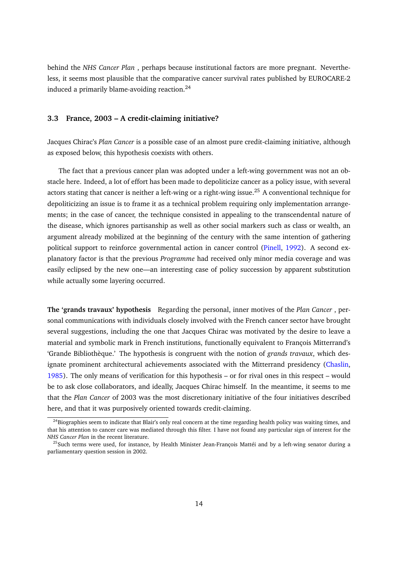behind the *NHS Cancer Plan* , perhaps because institutional factors are more pregnant. Nevertheless, it seems most plausible that the comparative cancer survival rates published by EUROCARE-2 induced a primarily blame-avoiding reaction.<sup>24</sup>

#### **3.3 France, 2003 – A credit-claiming initiative?**

Jacques Chirac's *Plan Cancer* is a possible case of an almost pure credit-claiming initiative, although as exposed below, this hypothesis coexists with others.

The fact that a previous cancer plan was adopted under a left-wing government was not an obstacle here. Indeed, a lot of effort has been made to depoliticize cancer as a policy issue, with several actors stating that cancer is neither a left-wing or a right-wing issue.<sup>25</sup> A conventional technique for depoliticizing an issue is to frame it as a technical problem requiring only implementation arrangements; in the case of cancer, the technique consisted in appealing to the transcendental nature of the disease, which ignores partisanship as well as other social markers such as class or wealth, an argument already mobilized at the beginning of the century with the same intention of gathering political support to reinforce governmental action in cancer control [\(Pinell,](#page-19-5) [1992\)](#page-19-5). A second explanatory factor is that the previous *Programme* had received only minor media coverage and was easily eclipsed by the new one—an interesting case of policy succession by apparent substitution while actually some layering occurred.

**The 'grands travaux' hypothesis** Regarding the personal, inner motives of the *Plan Cancer* , personal communications with individuals closely involved with the French cancer sector have brought several suggestions, including the one that Jacques Chirac was motivated by the desire to leave a material and symbolic mark in French institutions, functionally equivalent to François Mitterrand's 'Grande Bibliothèque.' The hypothesis is congruent with the notion of *grands travaux*, which des-ignate prominent architectural achievements associated with the Mitterrand presidency [\(Chaslin,](#page-18-11) [1985\)](#page-18-11). The only means of verification for this hypothesis – or for rival ones in this respect – would be to ask close collaborators, and ideally, Jacques Chirac himself. In the meantime, it seems to me that the *Plan Cancer* of 2003 was the most discretionary initiative of the four initiatives described here, and that it was purposively oriented towards credit-claiming.

 $^{24}$ Biographies seem to indicate that Blair's only real concern at the time regarding health policy was waiting times, and that his attention to cancer care was mediated through this filter. I have not found any particular sign of interest for the *NHS Cancer Plan* in the recent literature.

 $^{25}$ Such terms were used, for instance, by Health Minister Jean-François Mattéi and by a left-wing senator during a parliamentary question session in 2002.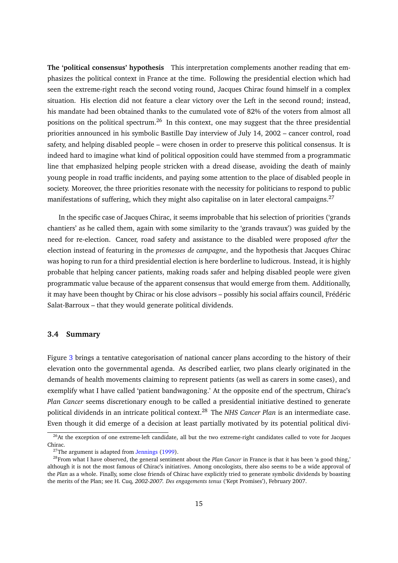**The 'political consensus' hypothesis** This interpretation complements another reading that emphasizes the political context in France at the time. Following the presidential election which had seen the extreme-right reach the second voting round, Jacques Chirac found himself in a complex situation. His election did not feature a clear victory over the Left in the second round; instead, his mandate had been obtained thanks to the cumulated vote of 82% of the voters from almost all positions on the political spectrum.<sup>26</sup> In this context, one may suggest that the three presidential priorities announced in his symbolic Bastille Day interview of July 14, 2002 – cancer control, road safety, and helping disabled people – were chosen in order to preserve this political consensus. It is indeed hard to imagine what kind of political opposition could have stemmed from a programmatic line that emphasized helping people stricken with a dread disease, avoiding the death of mainly young people in road traffic incidents, and paying some attention to the place of disabled people in society. Moreover, the three priorities resonate with the necessity for politicians to respond to public manifestations of suffering, which they might also capitalise on in later electoral campaigns.<sup>27</sup>

In the specific case of Jacques Chirac, it seems improbable that his selection of priorities ('grands chantiers' as he called them, again with some similarity to the 'grands travaux') was guided by the need for re-election. Cancer, road safety and assistance to the disabled were proposed *after* the election instead of featuring in the *promesses de campagne*, and the hypothesis that Jacques Chirac was hoping to run for a third presidential election is here borderline to ludicrous. Instead, it is highly probable that helping cancer patients, making roads safer and helping disabled people were given programmatic value because of the apparent consensus that would emerge from them. Additionally, it may have been thought by Chirac or his close advisors – possibly his social affairs council, Frédéric Salat-Barroux – that they would generate political dividends.

#### **3.4 Summary**

Figure [3](#page-16-0) brings a tentative categorisation of national cancer plans according to the history of their elevation onto the governmental agenda. As described earlier, two plans clearly originated in the demands of health movements claiming to represent patients (as well as carers in some cases), and exemplify what I have called 'patient bandwagoning.' At the opposite end of the spectrum, Chirac's *Plan Cancer* seems discretionary enough to be called a presidential initiative destined to generate political dividends in an intricate political context.<sup>28</sup> The *NHS Cancer Plan* is an intermediate case. Even though it did emerge of a decision at least partially motivated by its potential political divi-

 $^{26}$ At the exception of one extreme-left candidate, all but the two extreme-right candidates called to vote for Jacques Chirac.

 $27$ The argument is adapted from [Jennings](#page-18-12) [\(1999\)](#page-18-12).

<sup>28</sup>From what I have observed, the general sentiment about the *Plan Cancer* in France is that it has been 'a good thing,' although it is not the most famous of Chirac's initiatives. Among oncologists, there also seems to be a wide approval of the *Plan* as a whole. Finally, some close friends of Chirac have explicitly tried to generate symbolic dividends by boasting the merits of the Plan; see H. Cuq, *2002-2007. Des engagements tenus* ('Kept Promises'), February 2007.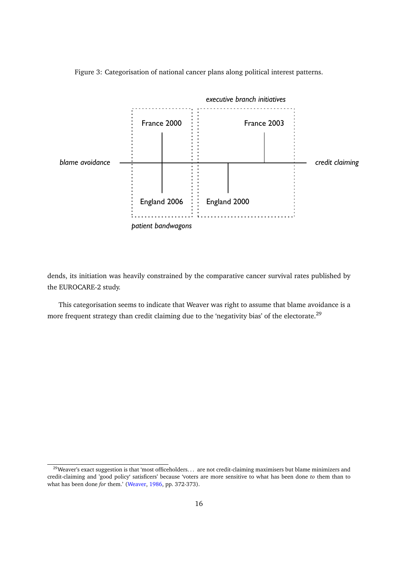

<span id="page-16-0"></span>Figure 3: Categorisation of national cancer plans along political interest patterns.

dends, its initiation was heavily constrained by the comparative cancer survival rates published by the EUROCARE-2 study.

This categorisation seems to indicate that Weaver was right to assume that blame avoidance is a more frequent strategy than credit claiming due to the 'negativity bias' of the electorate.<sup>29</sup>

<sup>&</sup>lt;sup>29</sup>Weaver's exact suggestion is that 'most officeholders. . . are not credit-claiming maximisers but blame minimizers and credit-claiming and 'good policy' satisficers' because 'voters are more sensitive to what has been done *to* them than to what has been done *for* them.' [\(Weaver,](#page-19-3) [1986,](#page-19-3) pp. 372-373).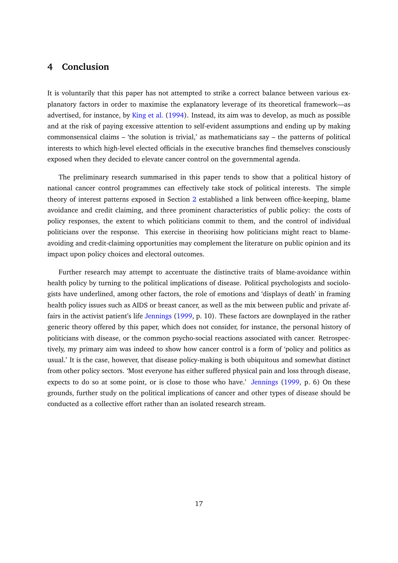## **4 Conclusion**

It is voluntarily that this paper has not attempted to strike a correct balance between various explanatory factors in order to maximise the explanatory leverage of its theoretical framework—as advertised, for instance, by [King et al.](#page-18-13) [\(1994\)](#page-18-13). Instead, its aim was to develop, as much as possible and at the risk of paying excessive attention to self-evident assumptions and ending up by making commonsensical claims – 'the solution is trivial,' as mathematicians say – the patterns of political interests to which high-level elected officials in the executive branches find themselves consciously exposed when they decided to elevate cancer control on the governmental agenda.

The preliminary research summarised in this paper tends to show that a political history of national cancer control programmes can effectively take stock of political interests. The simple theory of interest patterns exposed in Section [2](#page-7-1) established a link between office-keeping, blame avoidance and credit claiming, and three prominent characteristics of public policy: the costs of policy responses, the extent to which politicians commit to them, and the control of individual politicians over the response. This exercise in theorising how politicians might react to blameavoiding and credit-claiming opportunities may complement the literature on public opinion and its impact upon policy choices and electoral outcomes.

Further research may attempt to accentuate the distinctive traits of blame-avoidance within health policy by turning to the political implications of disease. Political psychologists and sociologists have underlined, among other factors, the role of emotions and 'displays of death' in framing health policy issues such as AIDS or breast cancer, as well as the mix between public and private affairs in the activist patient's life [Jennings](#page-18-12) [\(1999,](#page-18-12) p. 10). These factors are downplayed in the rather generic theory offered by this paper, which does not consider, for instance, the personal history of politicians with disease, or the common psycho-social reactions associated with cancer. Retrospectively, my primary aim was indeed to show how cancer control is a form of 'policy and politics as usual.' It is the case, however, that disease policy-making is both ubiquitous and somewhat distinct from other policy sectors. 'Most everyone has either suffered physical pain and loss through disease, expects to do so at some point, or is close to those who have.' [Jennings](#page-18-12) [\(1999,](#page-18-12) p. 6) On these grounds, further study on the political implications of cancer and other types of disease should be conducted as a collective effort rather than an isolated research stream.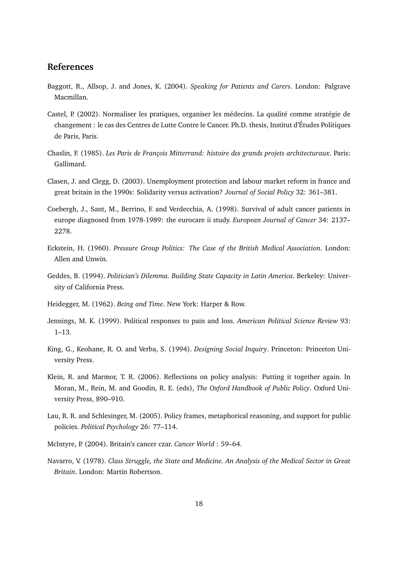## **References**

- <span id="page-18-8"></span>Baggott, R., Allsop, J. and Jones, K. (2004). *Speaking for Patients and Carers*. London: Palgrave Macmillan.
- <span id="page-18-7"></span>Castel, P. (2002). Normaliser les pratiques, organiser les médecins. La qualité comme stratégie de changement : le cas des Centres de Lutte Contre le Cancer. Ph.D. thesis, Institut d'Études Politiques de Paris, Paris.
- <span id="page-18-11"></span>Chaslin, F. (1985). *Les Paris de François Mitterrand: histoire des grands projets architecturaux*. Paris: Gallimard.
- <span id="page-18-1"></span>Clasen, J. and Clegg, D. (2003). Unemployment protection and labour market reform in france and great britain in the 1990s: Solidarity versus activation? *Journal of Social Policy* 32: 361–381.
- <span id="page-18-10"></span>Coebergh, J., Sant, M., Berrino, F. and Verdecchia, A. (1998). Survival of adult cancer patients in europe diagnosed from 1978-1989: the eurocare ii study. *European Journal of Cancer* 34: 2137– 2278.
- <span id="page-18-2"></span>Eckstein, H. (1960). *Pressure Group Politics: The Case of the British Medical Association*. London: Allen and Unwin.
- <span id="page-18-4"></span>Geddes, B. (1994). *Politician's Dilemma. Building State Capacity in Latin America*. Berkeley: University of California Press.
- <span id="page-18-6"></span>Heidegger, M. (1962). *Being and Time*. New York: Harper & Row.
- <span id="page-18-12"></span>Jennings, M. K. (1999). Political responses to pain and loss. *American Political Science Review* 93: 1–13.
- <span id="page-18-13"></span>King, G., Keohane, R. O. and Verba, S. (1994). *Designing Social Inquiry*. Princeton: Princeton University Press.
- <span id="page-18-0"></span>Klein, R. and Marmor, T. R. (2006). Reflections on policy analysis: Putting it together again. In Moran, M., Rein, M. and Goodin, R. E. (eds), *The Oxford Handbook of Public Policy*. Oxford University Press, 890–910.
- <span id="page-18-5"></span>Lau, R. R. and Schlesinger, M. (2005). Policy frames, metaphorical reasoning, and support for public policies. *Political Psychology* 26: 77–114.
- <span id="page-18-9"></span>McIntyre, P. (2004). Britain's cancer czar. *Cancer World* : 59–64.
- <span id="page-18-3"></span>Navarro, V. (1978). *Class Struggle, the State and Medicine. An Analysis of the Medical Sector in Great Britain*. London: Martin Robertson.